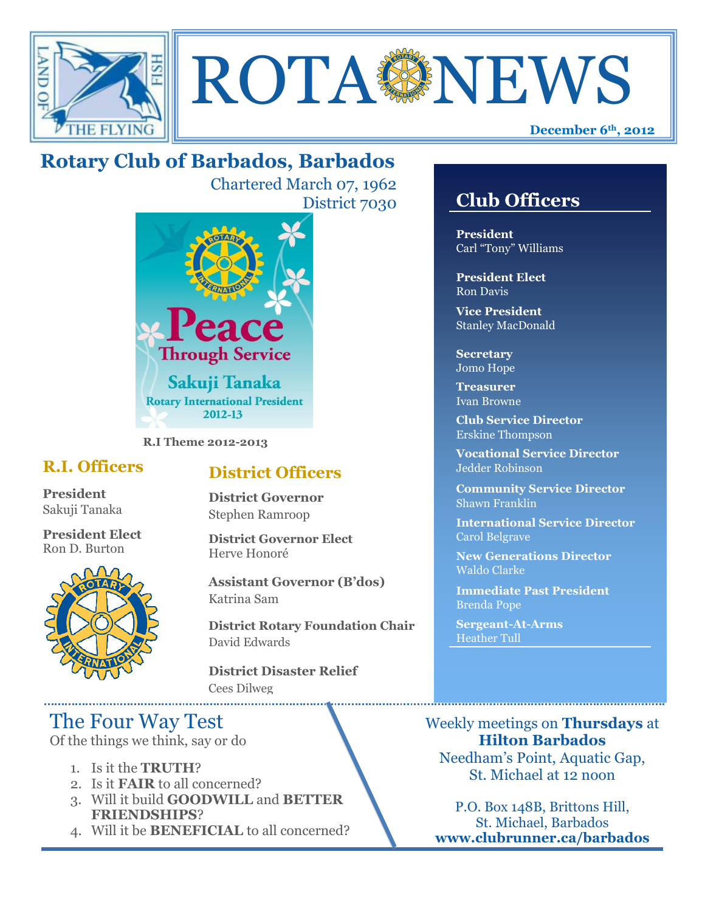



# **Rotary Club of Barbados, Barbados**

Chartered March 07, 1962 District 7030



**R.I Theme 2012-2013**

### **R.I. Officers**

**President**  Sakuji Tanaka

**President Elect** Ron D. Burton



### **District Officers**

**District Governor** Stephen Ramroop

**District Governor Elect** Herve Honoré

**Assistant Governor (B'dos)** Katrina Sam

**District Rotary Foundation Chair** David Edwards

**District Disaster Relief** Cees Dilweg

## The Four Way Test

Of the things we think, say or do

- 1. Is it the **TRUTH**?
- 2. Is it **FAIR** to all concerned?
- 3. Will it build **GOODWILL** and **BETTER FRIENDSHIPS**?
- 4. Will it be **BENEFICIAL** to all concerned?

## **Club Officers**

**Club Officers** 

**President** Carl "Tony" Williams

**President Elect** Ron Davis

**Vice President** Stanley MacDonald

**Secretary** Jomo Hope

**Treasurer** Ivan Browne

**Club Service Director** Erskine Thompson

**Vocational Service Director** Jedder Robinson

**Community Service Director** Shawn Franklin

**International Service Director** Carol Belgrave

**New Generations Director** Waldo Clarke

**Immediate Past President** Brenda Pope

**Sergeant-At-Arms** Heather Tull

Weekly meetings on **Thursdays** at **Hilton Barbados** Needham's Point, Aquatic Gap, St. Michael at 12 noon

P.O. Box 148B, Brittons Hill, St. Michael, Barbados **www.clubrunner.ca/barbados**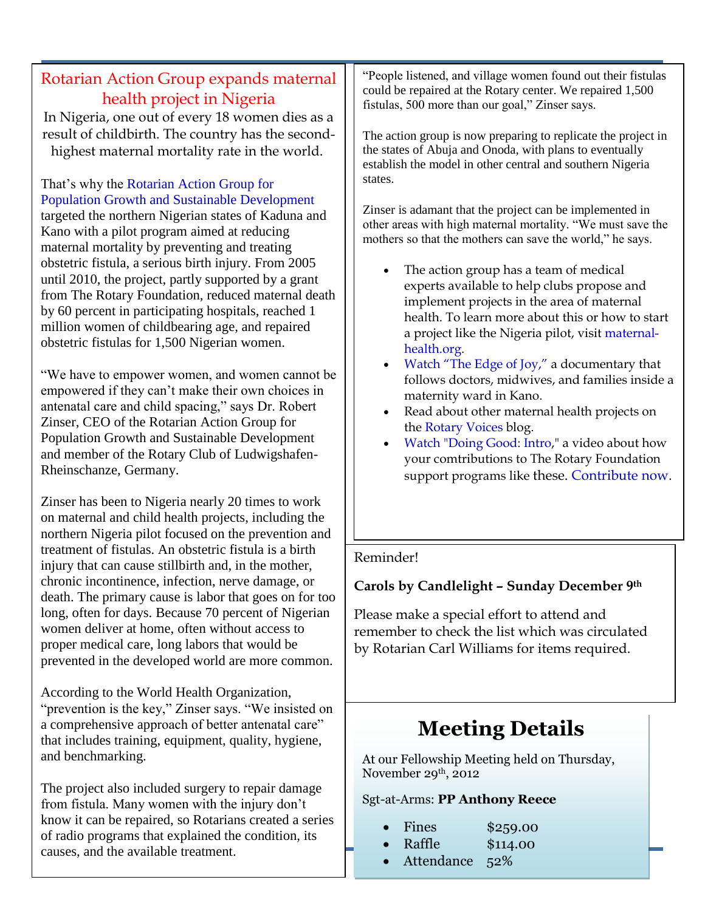## Rotarian Action Group expands maternal health project in Nigeria

In Nigeria, one out of every 18 women dies as a result of childbirth. The country has the secondhighest maternal mortality rate in the world.

That's why the [Rotarian Action Group for](http://www.maternal-health.org/)  [Population Growth and Sustainable Development](http://www.maternal-health.org/) targeted the northern Nigerian states of Kaduna and Kano with a pilot program aimed at reducing maternal mortality by preventing and treating obstetric fistula, a serious birth injury. From 2005 until 2010, the project, partly supported by a grant from The Rotary Foundation, reduced maternal death by 60 percent in participating hospitals, reached 1 million women of childbearing age, and repaired obstetric fistulas for 1,500 Nigerian women.

"We have to empower women, and women cannot be empowered if they can't make their own choices in antenatal care and child spacing," says Dr. Robert Zinser, CEO of the Rotarian Action Group for Population Growth and Sustainable Development and member of the Rotary Club of Ludwigshafen-Rheinschanze, Germany.

Zinser has been to Nigeria nearly 20 times to work on maternal and child health projects, including the northern Nigeria pilot focused on the prevention and treatment of fistulas. An obstetric fistula is a birth injury that can cause stillbirth and, in the mother, chronic incontinence, infection, nerve damage, or death. The primary cause is labor that goes on for too long, often for days. Because 70 percent of Nigerian women deliver at home, often without access to proper medical care, long labors that would be prevented in the developed world are more common.

According to the World Health Organization, "prevention is the key," Zinser says. "We insisted on a comprehensive approach of better antenatal care" that includes training, equipment, quality, hygiene, and benchmarking.

The project also included surgery to repair damage from fistula. Many women with the injury don't know it can be repaired, so Rotarians created a series of radio programs that explained the condition, its causes, and the available treatment.

"People listened, and village women found out their

"People listened, and village women found out their fistulas could be repaired at the Rotary center. We repaired 1,500 fistulas, 500 more than our goal," Zinser says.

The action group is now preparing to replicate the project in the states of Abuja and Onoda, with plans to eventually establish the model in other central and southern Nigeria states.

Zinser is adamant that the project can be implemented in other areas with high maternal mortality. "We must save the mothers so that the mothers can save the world," he says.

- The action group has a team of medical experts available to help clubs propose and implement projects in the area of maternal health. To learn more about this or how to start a project like the Nigeria pilot, visit [maternal](http://www.maternal-health.org/)[health.org.](http://www.maternal-health.org/)
- [Watch "The Edge of Joy,"](http://www.maternal-health.org/media/the-edge-of-joy/index.html) a documentary that follows doctors, midwives, and families inside a maternity ward in Kano.
- Read about other maternal health projects on the [Rotary Voices](http://blog.rotary.org/category/maternal-and-child-health/) blog.
- [Watch "Doing Good: Intro,](http://vimeo.com/34051471)" a video about how your comtributions to The Rotary Foundation support programs like these. [Contribute now.](http://www.rotary.org/en/Contribute/Pages/ridefault.aspx)

#### Reminder!

#### . **Carols by Candlelight – Sunday December 9th**

Please make a special effort to attend and remember to check the list which was circulated by Rotarian Carl Williams for items required.

# **Meeting Details**

At our Fellowship Meeting held on Thursday, November 29th, 2012

#### Sgt-at-Arms: **PP Anthony Reece**

- Fines \$259.00
- Raffle \$114.00
- Attendance 52%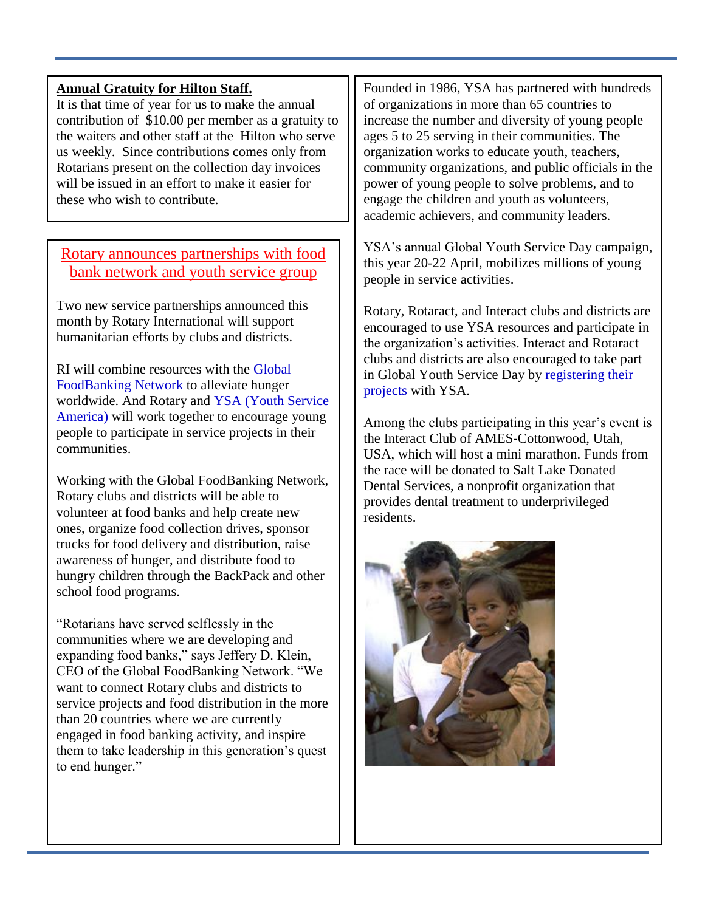#### **Annual Gratuity for Hilton Staff.**

It is that time of year for us to make the annual contribution of \$10.00 per member as a gratuity to the waiters and other staff at the Hilton who serve us weekly. Since contributions comes only from Rotarians present on the collection day invoices will be issued in an effort to make it easier for these who wish to contribute.

Rotary announces partnerships with food bank network and youth service group

Two new service partnerships announced this month by Rotary International will support humanitarian efforts by clubs and districts.

RI will combine resources with the [Global](http://www.foodbanking.org/)  [FoodBanking Network](http://www.foodbanking.org/) to alleviate hunger worldwide. And Rotary and [YSA \(Youth Service](http://www.ysa.org/)  [America\)](http://www.ysa.org/) will work together to encourage young people to participate in service projects in their communities.

Working with the Global FoodBanking Network, Rotary clubs and districts will be able to volunteer at food banks and help create new ones, organize food collection drives, sponsor trucks for food delivery and distribution, raise awareness of hunger, and distribute food to hungry children through the BackPack and other school food programs.

"Rotarians have served selflessly in the communities where we are developing and expanding food banks," says Jeffery D. Klein, CEO of the Global FoodBanking Network. "We want to connect Rotary clubs and districts to service projects and food distribution in the more than 20 countries where we are currently engaged in food banking activity, and inspire them to take leadership in this generation's quest to end hunger."

Founded in 1986, YSA has partnered with hundreds of organizations in more than 65 countries to increase the number and diversity of young people ages 5 to 25 serving in their communities. The organization works to educate youth, teachers, community organizations, and public officials in the power of young people to solve problems, and to engage the children and youth as volunteers, academic achievers, and community leaders.

YSA's annual Global Youth Service Day campaign, this year 20-22 April, mobilizes millions of young people in service activities.

Rotary, Rotaract, and Interact clubs and districts are encouraged to use YSA resources and participate in the organization's activities. Interact and Rotaract clubs and districts are also encouraged to take part in Global Youth Service Day by [registering their](http://www.gysd.org/register)  [projects](http://www.gysd.org/register) with YSA.

Among the clubs participating in this year's event is the Interact Club of AMES-Cottonwood, Utah, USA, which will host a mini marathon. Funds from the race will be donated to Salt Lake Donated Dental Services, a nonprofit organization that provides dental treatment to underprivileged residents.